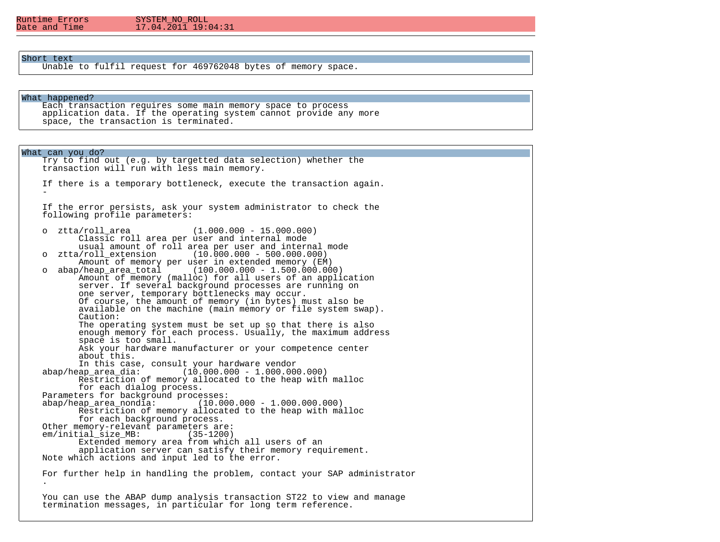# $17.04.\overline{2}01\overline{1}19:04:31$

# Short text

Unable to fulfil request for 469762048 bytes of memory space.

#### What happened?

 Each transaction requires some main memory space to process application data. If the operating system cannot provide any more space, the transaction is terminated.

What can you do? Try to find out (e.g. by targetted data selection) whether the transaction will run with less main memory. If there is a temporary bottleneck, execute the transaction again.  $\sim$  -  $\sim$  If the error persists, ask your system administrator to check the following profile parameters: o ztta/roll\_area (1.000.000 - 15.000.000) Classic roll area per user and internal mode usual amount of roll area per user and internal mode<br>0 xtta/roll extension (10.000.000 - 500.000.000)  $(10.000.000 - 500.000.000)$ Amount of memory per user in extended memory (EM)<br>00.000.000 - 1.500.000.000 - abap/heap area total (100.000.000 - 1.500.000.00  $(100.000.000 - 1.500.000.000)$  Amount of memory (malloc) for all users of an application server. If several background processes are running on one server, temporary bottlenecks may occur. Of course, the amount of memory (in bytes) must also be available on the machine (main memory or file system swap). Caution: The operating system must be set up so that there is also enough memory for each process. Usually, the maximum address space is too small. Ask your hardware manufacturer or your competence center about this. In this case, consult your hardware vendor<br>abap/heap area dia: (10.000.000 - 1.000.00  $(10.000.000 - 1.000.000.000)$  Restriction of memory allocated to the heap with malloc for each dialog process. Parameters for background processes:<br>abap/heap area nondia: (10.00  $(10.000.000 - 1.000.000.000)$  Restriction of memory allocated to the heap with malloc for each background process. Other memory-relevant parameters are: em/initial size MB: Extended memory area from which all users of an application server can satisfy their memory requirement. Note which actions and input led to the error. For further help in handling the problem, contact your SAP administrator . You can use the ABAP dump analysis transaction ST22 to view and manage termination messages, in particular for long term reference.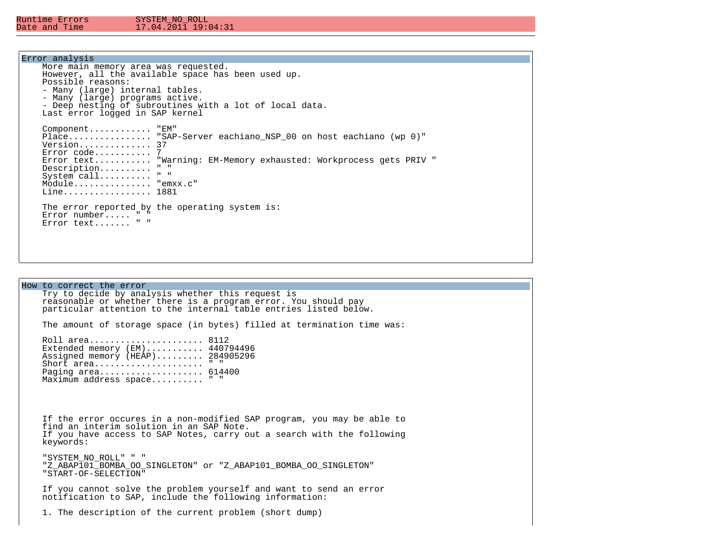### Error analysis

| More main memory area was requested.<br>However, all the available space has been used up.<br>Possible reasons:<br>- Many (large) internal tables.<br>- Many (large) programs active.<br>- Deep nesting of subroutines with a lot of local data.                                                                                                              |
|---------------------------------------------------------------------------------------------------------------------------------------------------------------------------------------------------------------------------------------------------------------------------------------------------------------------------------------------------------------|
| Last error logged in SAP kernel<br>Component "EM"<br>Place "SAP-Server eachiano NSP 00 on host eachiano (wp 0)"<br>Version 37<br>$Error code$ 7<br>Error text "Warning: EM-Memory exhausted: Workprocess gets PRIV "<br>$\mathbf{u}$ $\mathbf{u}$<br>$Description. \ldots \ldots$<br>$\mathbf{u} = \mathbf{u}$<br>System call<br>Module "emxx.c"<br>Line 1881 |
| The error reported by the operating system is:<br>Error number $" "$<br>Error text " "                                                                                                                                                                                                                                                                        |

How to correct the error Try to decide by analysis whether this request is reasonable or whether there is a program error. You should pay particular attention to the internal table entries listed below. The amount of storage space (in bytes) filled at termination time was: Roll area...................... 8112 Extended memory (EM)........... 440794496 Assigned memory (HEAP)......... 284905296 Short area...................... " " Paging area...................... 614400 Maximum address space.......... " " If the error occures in a non-modified SAP program, you may be able to find an interim solution in an SAP Note. If you have access to SAP Notes, carry out a search with the following keywords: "SYSTEM\_NO\_ROLL" " " "Z\_ABAP101\_BOMBA\_OO\_SINGLETON" or "Z\_ABAP101\_BOMBA\_OO\_SINGLETON" "START-OF-SELECTION" If you cannot solve the problem yourself and want to send an error notification to SAP, include the following information: 1. The description of the current problem (short dump)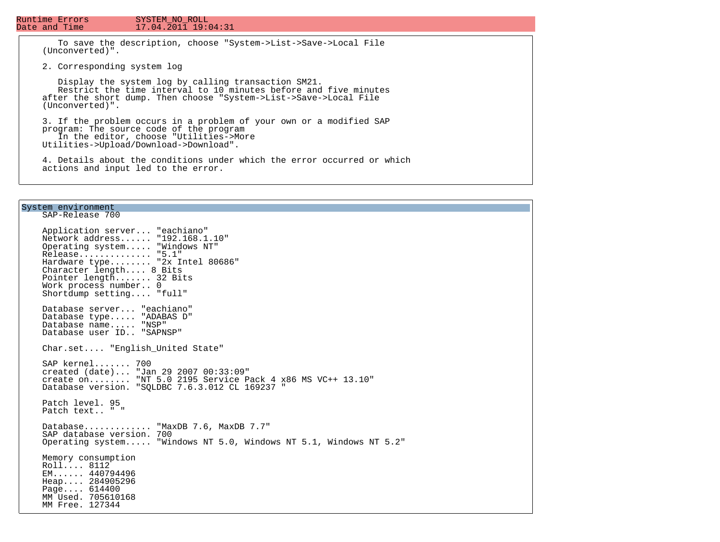# $17.04.\overline{2}01\overline{1}19:04:31$

 To save the description, choose "System->List->Save->Local File (Unconverted)".

2. Corresponding system log

 Display the system log by calling transaction SM21. Restrict the time interval to 10 minutes before and five minutes after the short dump. Then choose "System->List->Save->Local File (Unconverted)".

 3. If the problem occurs in a problem of your own or a modified SAP program: The source code of the program In the editor, choose "Utilities->More Utilities->Upload/Download->Download".

 4. Details about the conditions under which the error occurred or which actions and input led to the error.

### System environment

 SAP-Release 700 Application server... "eachiano" Network address...... "192.168.1.10" Operating system..... "Windows NT" Release.............. "5.1" Hardware type........ "2x Intel 80686" Character length.... 8 Bits Pointer length....... 32 Bits Work process number.. 0 Shortdump setting.... "full" Database server... "eachiano" Database type..... "ADABAS D" Database name..... "NSP" Database user ID.. "SAPNSP" Char.set.... "English\_United State" SAP kernel....... 700 created (date)... "Jan 29 2007 00:33:09" create on........ "NT 5.0 2195 Service Pack 4 x86 MS VC++ 13.10" Database version. "SQLDBC 7.6.3.012 CL 169237 " Patch level. 95 Patch text.. " " Database............ "MaxDB 7.6, MaxDB 7.7" SAP database version. 700 Operating system..... "Windows NT 5.0, Windows NT 5.1, Windows NT 5.2" Memory consumption Roll.... 8112 EM...... 440794496 Heap.... 284905296 Page.... 614400 MM Used. 705610168 MM Free. 127344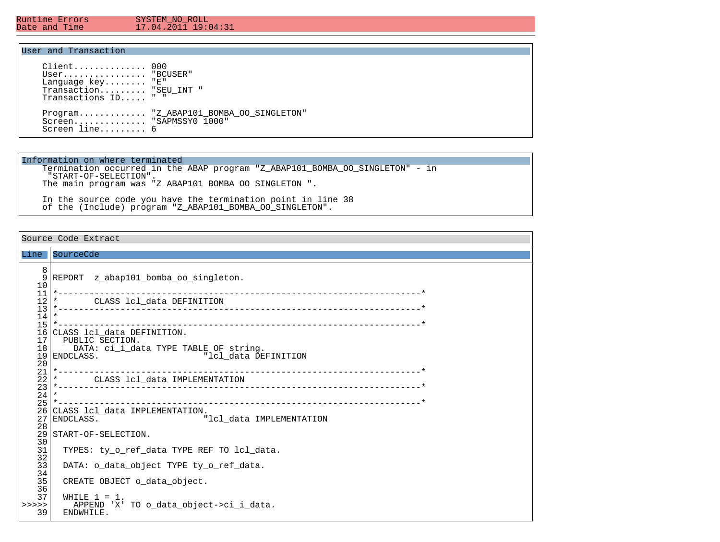Ξ

#### Runtime Errors SYSTEM\_NO\_ROLL<br>Date and Time 17.04.2011 19:0  $17.04.\overline{2011}$  19:04:31

# User and Transaction

| Client 000<br>User "BCUSER"<br>Language $key$ "E"<br>Transaction "SEU INT "<br>Transactions ID " " |                                        |
|----------------------------------------------------------------------------------------------------|----------------------------------------|
| Screen "SAPMSSYO 1000"<br>Screen $line$ 6                                                          | Program "Z ABAP101 BOMBA OO SINGLETON" |

#### Information on where terminated

 Termination occurred in the ABAP program "Z\_ABAP101\_BOMBA\_OO\_SINGLETON" - in "START-OF-SELECTION". The main program was "Z\_ABAP101\_BOMBA\_OO\_SINGLETON ".

 In the source code you have the termination point in line 38 of the (Include) program "Z\_ABAP101\_BOMBA\_OO\_SINGLETON".

Source Code Extract Line SourceCde 8<br>9 REPORT z abap101 bomba oo singleton.  $\begin{array}{c} 10 \\ 11 \end{array}$  11 \*----------------------------------------------------------------------\* 12 \* CLASS lcl\_data DEFINITION 13 \*----------------------------------------------------------------------\*  $\frac{14}{15}$  15 \*----------------------------------------------------------------------\* 16 CLASS 1c1\_data DEFINITION.<br>17 PUBLIC SECTION. 17 PUBLIC SECTION.<br>18 DATA: ci i dat 18 DATA: ci\_i\_data TYPE TABLE OF string.<br>19 ENDCLASS. "lel data DE "lcl data DEFINITION  $\frac{20}{21}$  21 \*----------------------------------------------------------------------\* 22 \* CLASS lcl\_data IMPLEMENTATION 23 \*----------------------------------------------------------------------\*  $\frac{24}{25}$  25 \*----------------------------------------------------------------------\* 26 CLASS lcl\_data IMPLEMENTATION.<br>27 ENDCLASS. "lcl\_data IMPLEMENTATION  $\frac{28}{29}$ START-OF-SELECTION.  $30$ <br> $31$ TYPES: ty\_o\_ref\_data TYPE REF TO lcl\_data.  $\frac{32}{33}$ DATA: o\_data\_object TYPE ty\_o\_ref\_data.  $34$ <br> $35$  35 CREATE OBJECT o\_data\_object. 36<br>37 WHILE  $1 = 1$ . >>>>> APPEND 'X' TO o\_data\_object->ci\_i\_data.<br>39 ENDWHILE. ENDWHILE.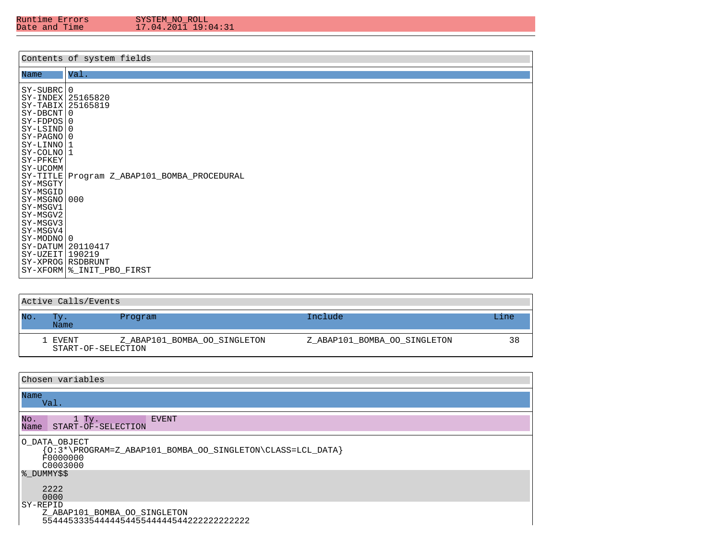| Runtıme Errors |  |  |
|----------------|--|--|
| Date and Time  |  |  |

|                                                                                                                                                                                                                                                                              | Contents of system fields                                                       |
|------------------------------------------------------------------------------------------------------------------------------------------------------------------------------------------------------------------------------------------------------------------------------|---------------------------------------------------------------------------------|
|                                                                                                                                                                                                                                                                              | Val.                                                                            |
| Name<br>SY-SUBRC<br>SY-INDEX 25165820<br>SY-TABIX<br>  SY-DBCNT  <br>$SY-FDPOS 0$<br>SY-LSIND 0<br>  SY-PAGNO  <br>  SY-LINNO  <br>SY-COLNO!<br>SY-PFKEY<br>SY-UCOMM<br>  SY-TITLE  <br>SY-MSGTY<br>SY-MSGID<br>SY-MSGNO 000<br>SY-MSGV1<br>SY-MSGV2<br>SY-MSGV3<br>SY-MSGV4 | l 0<br>25165819<br>l 0<br>l 0<br>1<br>l 1<br>Program Z_ABAP101_BOMBA_PROCEDURAL |
| SY-MODNO  <br>SY-DATUM 20110417<br>$SY-UZEIT$ <sup>190219</sup><br>SY-XPROG RSDBRUNT                                                                                                                                                                                         | l 0<br>SY-XFORM   &_INIT_PBO_FIRST                                              |

|     | Active Calls/Events           |                              |                              |      |
|-----|-------------------------------|------------------------------|------------------------------|------|
| No. | Tv.<br>Name                   | Program                      | Include                      | Line |
|     | 1 EVENT<br>START-OF-SELECTION | Z ABAP101 BOMBA OO SINGLETON | Z ABAP101 BOMBA OO SINGLETON | 38   |

| Chosen variables                                                                                          |  |  |  |  |  |  |  |
|-----------------------------------------------------------------------------------------------------------|--|--|--|--|--|--|--|
| Name<br>Val.                                                                                              |  |  |  |  |  |  |  |
| No.<br>$1$ Ty.<br><b>EVENT</b><br>START-OF-SELECTION<br>Name                                              |  |  |  |  |  |  |  |
| O DATA OBJECT<br>${0:3*\PPCGRAM = Z_ABAP101_BOMBA_0O_SINGLETON\CLASS = LCL_DATA}$<br>F0000000<br>C0003000 |  |  |  |  |  |  |  |
| % DUMMY\$\$<br>2222<br>0000                                                                               |  |  |  |  |  |  |  |
| SY-REPID<br>Z_ABAP101_BOMBA_OO_SINGLETON                                                                  |  |  |  |  |  |  |  |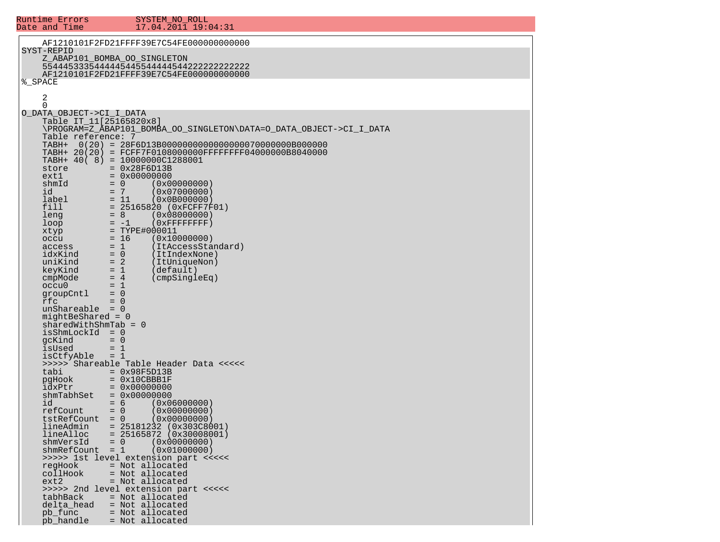| Runtime Errors<br>Date and Time                                           | SYSTEM NO ROLL<br>17.04.2011 19:04:31                                                                                    |
|---------------------------------------------------------------------------|--------------------------------------------------------------------------------------------------------------------------|
|                                                                           | AF1210101F2FD21FFFF39E7C54FE000000000000                                                                                 |
| SYST-REPID                                                                | Z_ABAP101_BOMBA_OO_SINGLETON<br>AF1210101F2FD21FFFF39E7C54FE000000000000                                                 |
| %_SPACE<br>2<br>$\Omega$                                                  |                                                                                                                          |
| O DATA OBJECT->CI I DATA<br>Table IT 11[25165820x8]<br>Table reference: 7 | \PROGRAM=Z_ABAP101_BOMBA_OO_SINGLETON\DATA=O_DATA_OBJECT->CI_I_DATA                                                      |
| TABH+<br>store                                                            | TABH+ 20(20) = FCFF7F0108000000FFFFFFFFF04000000B8040000<br>$TABLE + 40(8) = 10000000C1288001$<br>$= 0x28F6D13B$         |
| ext1<br>shmId<br>id<br>label                                              | $= 0 \times 00000000$<br>$= 0$<br>(0x00000000)<br>$= 7$<br>(0x07000000)<br>$= 11$<br>(0x0B000000)                        |
| fill<br>leng<br>loop<br>xtyp                                              | $= 25165820 (0xFCFF7F01)$<br>$= 8$<br>(0x08000000)<br>$= -1$<br>$(0 \times$ FFFFFFFFF $)$<br>$= TYPE#000011$             |
| occu<br>access<br>idxKind<br>uniKind                                      | $= 16$<br>(0x10000000)<br>$= 1$<br>(ItAccessStandard)<br>$= 0$<br>(ItIndexNone)<br>$= 2$<br>(ItUniqueNon)                |
| keyKind<br>cmpMode<br>occu0<br>groupCntl                                  | $= 1$<br>(default)<br>$= 4$<br>$(\text{cmpSingleEq})$<br>$= 1$<br>$= 0$                                                  |
| rfc<br>$unShareable = 0$<br>mightBeShared = 0<br>$sharedWithShmTab = 0$   | $= 0$                                                                                                                    |
| $isshmLockId = 0$<br>gcKind<br>isUsed<br>isCtfyAble                       | $= 0$<br>$= 1$<br>$= 1$                                                                                                  |
| tabi<br>pgHook<br>idxPtr                                                  | >>>>> Shareable Table Header Data <<<<<<br>$= 0x98F5D13B$<br>$= 0x10CBBB1F$<br>$= 0 \times 00000000$                     |
| shmTabhSet<br>id<br>refCount<br>tstRefCount                               | $= 0 \times 00000000$<br>$= 6$<br>(0x06000000)<br>$= 0$<br>(0x00000000)<br>$= 0$<br>(0x00000000)                         |
| lineAdmin<br>lineAlloc<br>shmVersId<br>shmRefCount                        | $= 25181232 (0x303C8001)$<br>$= 25165872 (0x30008001)$<br>$\overline{0}$<br>(0x00000000)<br>$=$<br>$= 1$<br>(0x01000000) |
| regHook<br>collHook<br>ext2                                               | >>>>> 1st level extension part <<<<<<br>= Not allocated<br>= Not allocated<br>= Not allocated                            |
| tabhBack<br>delta head<br>pb func                                         | >>>>> 2nd level extension part <<<<<<br>= Not allocated<br>= Not allocated<br>= Not allocated                            |
| pb handle                                                                 | = Not allocated                                                                                                          |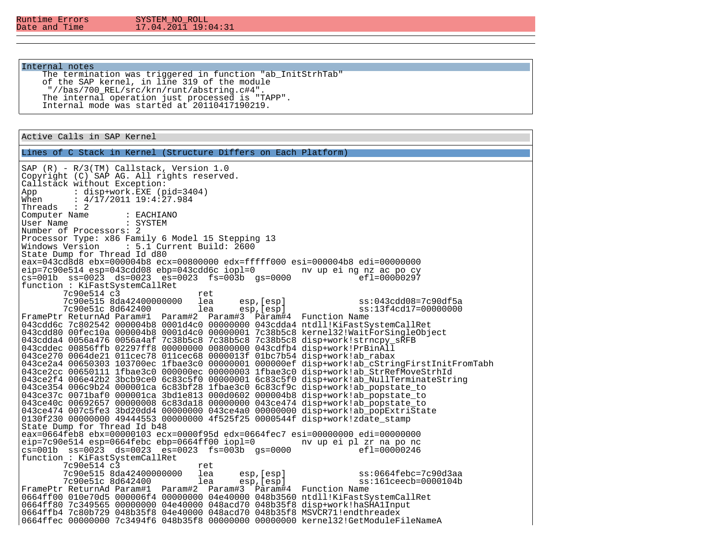# Internal notes

 The termination was triggered in function "ab\_InitStrhTab" of the SAP kernel, in line 319 of the module "//bas/700\_REL/src/krn/runt/abstring.c#4". The internal operation just processed is "TAPP". Internal mode was started at 20110417190219.

Active Calls in SAP Kernel

Lines of C Stack in Kernel (Structure Differs on Each Platform)

SAP (R) - R/3(TM) Callstack, Version 1.0 Copyright (C) SAP AG. All rights reserved. Callstack without Exception:<br>App : disp+work.EXE (p App : disp+work.EXE (pid=3404)<br>When : 4/17/2011 19:4:27.984 When : 4/17/2011 19:4:27.984 Threads : 2 Computer Name : EACHIANO<br>User Name : SYSTEM User Name Number of Processors: 2 Processor Type: x86 Family 6 Model 15 Stepping 13<br>Windows Version : 5.1 Current Build: 2600 Windows Version : 5.1 Current Build: 2600 State Dump for Thread Id d80 eax=043cd8d8 ebx=000004b8 ecx=00800000 edx=fffff000 esi=000004b8 edi=00000000 eip=7c90e514 esp=043cdd08 ebp=043cdd6c iopl=0 nv up ei ng nz ac po cy  $cs=001b$   $ss=0023$   $ds=0023$   $es=0023$   $fs=003b$   $qs=0000$ function : KiFastSystemCallRet 7c90e514 c3 ret<br>7c90e515 8da42400000000 lea 7c90e515 8da42400000000 lea esp,[esp] ss:043cdd08=7c90df5a ss:13f4cd17=00000000 FramePtr ReturnAd Param#1 Param#2 Param#3 Param#4 Function Name 043cdd6c 7c802542 000004b8 0001d4c0 00000000 043cdda4 ntdll!KiFastSystemCallRet 043cdd80 00fec10a 000004b8 0001d4c0 00000001 7c38b5c8 kernel32!WaitForSingleObject 043cdda4 0056a476 0056a4af 7c38b5c8 7c38b5c8 7c38b5c8 disp+work!strncpy\_sRFB 043cddec 00856ffb 02297ff8 00000000 00800000 043cdfb4 disp+work!PrBinAll 043ce270 0064de21 011cec78 011cec68 0000013f 01bc7b54 disp+work!ab\_rabax 043ce2a4 00650303 103700ec 1fbae3c0 00000001 000000ef disp+work!ab\_cStringFirstInitFromTabh 043ce2cc 00650111 1fbae3c0 000000ec 00000003 1fbae3c0 disp+work!ab\_StrRefMoveStrhId 043ce2f4 006e42b2 3bcb9ce0 6c83c5f0 00000001 6c83c5f0 disp+work!ab\_NullTerminateString 043ce354 006c9b24 000001ca 6c83bf28 1fbae3c0 6c83cf9c disp+work!ab\_popstate\_to 043ce37c 0071baf0 000001ca 3bd1e813 000d0602 000004b8 disp+work!ab\_popstate\_to 043ce40c 00692657 00000008 6c83da18 00000000 043ce474 disp+work!ab popstate to 043ce474 007c5fe3 3bd20dd4 00000000 043ce4a0 00000000 disp+work!ab\_popExtriState 0130f230 00000000 49444553 00000000 4f525f25 0000544f disp+work!zdate\_stamp State Dump for Thread Id b48 eax=0664feb8 ebx=00000103 ecx=0000f95d edx=0664fec7 esi=00000000 edi=00000000 eip=7c90e514 esp=0664febc ebp=0664ff00 iopl=0 nv up ei pl zr na po nc  $cs=001b$   $ss=0023$   $ds=0023$   $es=0023$   $fs=003b$   $qs=0000$ function : KiFastSystemCallRet 7c90e514 c3 ret<br>7c90e515 8da42400000000 lea 7c90e515 8da42400000000 lea esp,[esp] ss:0664febc=7c90d3aa 7c90e51c 8d642400 FramePtr ReturnAd Param#1 Param#2 Param#3 Param#4 Function Name 0664ff00 010e70d5 000006f4 00000000 04e40000 048b3560 ntdll!KiFastSystemCallRet 0664ff80 7c349565 00000000 04e40000 048acd70 048b35f8 disp+work!haSHA1Input 0664ffb4 7c80b729 048b35f8 04e40000 048acd70 048b35f8 MSVCR71!endthreadex 0664ffec 00000000 7c3494f6 048b35f8 00000000 00000000 kernel32!GetModuleFileNameA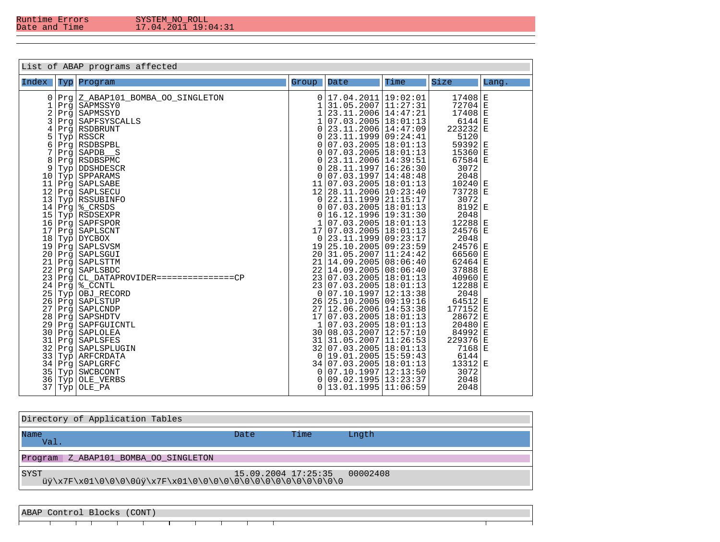| Directory of Application Tables         |                         |      |          |  |  |  |  |
|-----------------------------------------|-------------------------|------|----------|--|--|--|--|
| Name<br>Val.                            | Date                    | Time | Lngth    |  |  |  |  |
| Z ABAP101 BOMBA OO SINGLETON<br>Program |                         |      |          |  |  |  |  |
| <b>SYST</b>                             | $15.09.2004$ $17:25:35$ |      | 00002408 |  |  |  |  |

ABAP Control Blocks (CONT)

 $\top$ ᅮ T ┯ ┯ ⊤ т ⊤ ┯